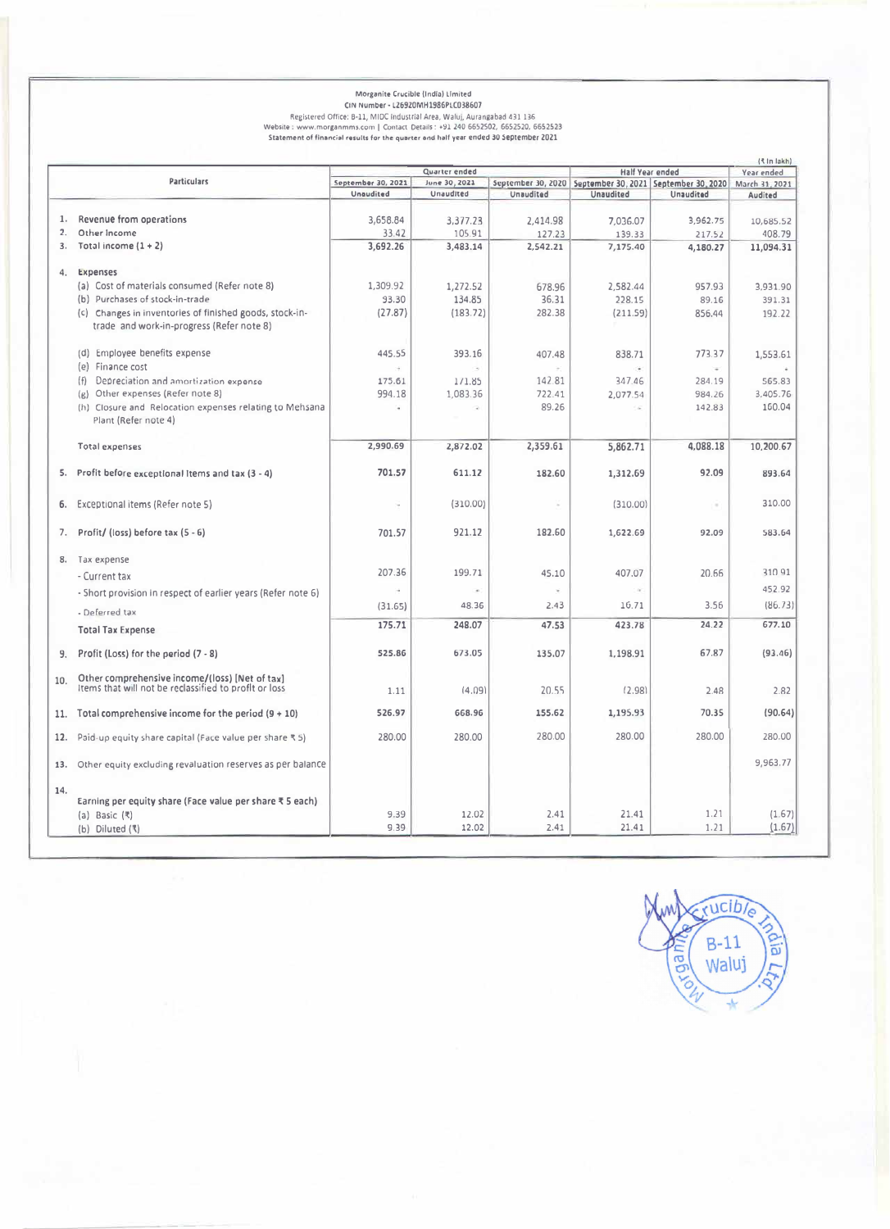# Morganite Crucible (India) Limited<br>CRIM MUMBET - LZ6920MM1986PLC038607<br>Registered Office: B-11, MIDC (Industrial Area, Walui, Aurangabad 431 136<br>Website : www.morganmms.com | Contact Details : +91 240 6652502, 6652520, 665

|     |                                                                                                         |                    |                          |                                                              |                  |                  | ( In lakh)     |
|-----|---------------------------------------------------------------------------------------------------------|--------------------|--------------------------|--------------------------------------------------------------|------------------|------------------|----------------|
|     |                                                                                                         | Quarter ended      |                          |                                                              | Half Year ended  |                  | Year ended     |
|     | <b>Particulars</b>                                                                                      | September 30, 2021 | June 30, 2021            | September 30, 2020   September 30, 2021   September 30, 2020 |                  |                  | March 31, 2021 |
|     |                                                                                                         | Unaudited          | Unaudited                | Unaudited                                                    | <b>Unaudited</b> | <b>Unaudited</b> | Audited        |
| 1.  | Revenue from operations                                                                                 | 3,658.84           | 3,377.23                 | 2,414.98                                                     | 7.036.07         | 3.962.75         | 10,685.52      |
| 2.  | Other Income                                                                                            | 33.42              | 105.91                   | 127.23                                                       | 139.33           | 217.52           |                |
|     |                                                                                                         |                    |                          |                                                              |                  |                  | 408.79         |
| 3.  | Total income $(1 + 2)$                                                                                  | 3,692.26           | 3,483.14                 | 2,542.21                                                     | 7,175.40         | 4,180.27         | 11,094.31      |
| 4.  | Expenses                                                                                                |                    |                          |                                                              |                  |                  |                |
|     |                                                                                                         |                    |                          |                                                              |                  |                  |                |
|     | (a) Cost of materials consumed (Refer note 8)                                                           | 1,309.92           | 1,272.52                 | 678.96                                                       | 2,582.44         | 957.93           | 3,931.90       |
|     | (b) Purchases of stock-in-trade                                                                         | 93.30              | 134.85                   | 36.31                                                        | 228.15           | 89.16            | 391.31         |
|     | (c) Changes in inventories of finished goods, stock-in-<br>trade and work-in-progress (Refer note 8)    | (27.87)            | (183.72)                 | 282.38                                                       | (211.59)         | 856.44           | 192.22         |
|     | (d) Employee benefits expense                                                                           | 445.55             | 393.16                   | 407.48                                                       | 838.71           | 773.37           | 1,553.61       |
|     | (e) Finance cost                                                                                        |                    |                          |                                                              |                  | ÷                |                |
|     | Depreciation and amortization expense<br>(f)                                                            | 175.61             | 1/1.85                   | 142.81                                                       | 347.46           | 284.19           | 565.83         |
|     | Other expenses (Refer note 8)<br>$\{R\}$                                                                | 994.18             | 1,083.36                 | 722.41                                                       | 2,077.54         | 984.26           | 3,405.76       |
|     | (h) Closure and Relocation expenses relating to Mehsana<br>Plant (Refer note 4)                         | ×.                 | $\overline{\phantom{a}}$ | 89.26                                                        | 14               | 142.83           | 160.04         |
|     | <b>Total expenses</b>                                                                                   | 2,990.69           | 2,872.02                 | 2,359.61                                                     | 5,862.71         | 4,088.18         | 10,200.67      |
| 5.  | Profit before exceptional Items and tax (3 - 4)                                                         | 701.57             | 611.12                   | 182.60                                                       | 1,312.69         | 92.09            | 893.64         |
| б.  | Exceptional items (Refer note 5)                                                                        | ٠                  | (310.00)                 |                                                              | (310.00)         | $\alpha$         | 310.00         |
| 7.  | Profit/ (loss) before tax (5 - 6)                                                                       | 701.57             | 921.12                   | 182.60                                                       | 1,622.69         | 92.09            | 583.64         |
|     | 8. Tax expense                                                                                          |                    |                          |                                                              |                  |                  |                |
|     | - Current tax                                                                                           | 207.36             | 199.71                   | 45.10                                                        | 407.07           | 20.66            | 31091          |
|     |                                                                                                         | ÷.                 | $\sim$                   |                                                              | $\sim$           |                  | 452.92         |
|     | - Short provision in respect of earlier years (Refer note 6)                                            |                    |                          |                                                              |                  |                  |                |
|     | - Deferred tax                                                                                          | (31.65)            | 48.36                    | 2.43                                                         | 16.71            | 3.56             | (86.73)        |
|     | <b>Total Tax Expense</b>                                                                                | 175.71             | 248.07                   | 47.53                                                        | 423.78           | 24.22            | 677.10         |
|     |                                                                                                         |                    |                          |                                                              |                  |                  |                |
| 9.  | Profit (Loss) for the period (7 - 8)                                                                    | 525.86             | 673.05                   | 135.07                                                       | 1,198.91         | 67.87            | (93.46)        |
| 10. | Other comprehensive income/(loss) [Net of tax]<br>Items that will not be reclassified to profit or loss | 1.11               | (4.09)                   | 20.55                                                        | (2.98)           | 2.48             | 2.82           |
| 11. | Total comprehensive income for the period $(9 + 10)$                                                    | 526.97             | 668.96                   | 155.62                                                       | 1,195.93         | 70.35            | (90.64)        |
| 12. | Paid-up equity share capital (Face value per share ₹ 5)                                                 | 280.00             | 280.00                   | 280.00                                                       | 280.00           | 280.00           | 280.00         |
| 13. | Other equity excluding revaluation reserves as per balance                                              |                    |                          |                                                              |                  |                  | 9,963.77       |
| 14. | Earning per equity share (Face value per share ₹ 5 each)<br>(a) Basic $(₹)$                             | 9.39               | 12.02                    | 2.41                                                         | 21.41            | 1.21             | (1.67)         |
|     |                                                                                                         | 9.39               | 12.02                    | 2.41                                                         | 21.41            | 1.21             | (1.67)         |
|     | $(b)$ Diluted $(3)$                                                                                     |                    |                          |                                                              |                  |                  |                |

rucible  $B-11$ **Alia** dan Waluj  $\ddot{\textbf{r}}$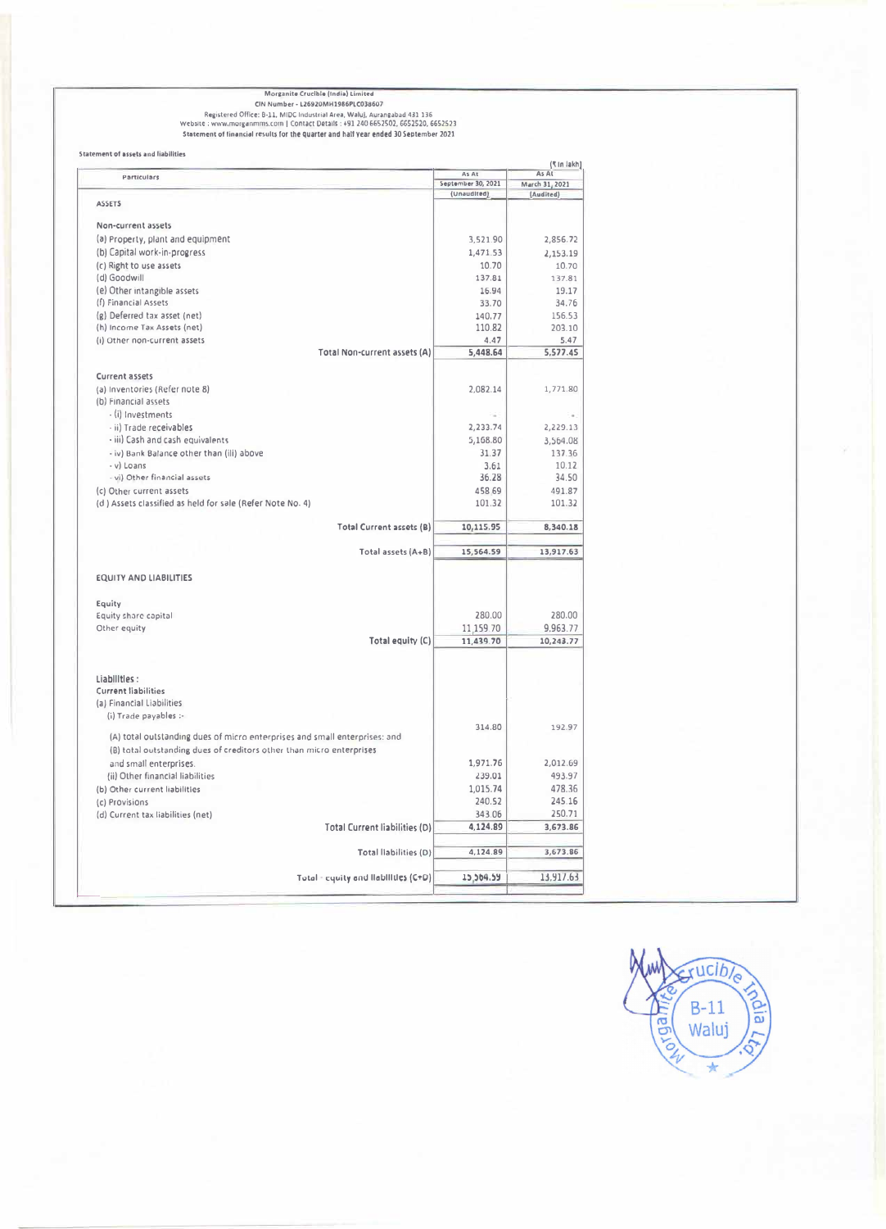Morganite Crucible (India) Limited<br>CIN Number - L26920MH1986PLC038607<br>Registered Office: B-11, MIDC Industrial Area, Waluj, Aurangabad 431 136<br>Website : www.morganmms.com | Contact Details : +91 240 6652502, 6652520, 66525

|                                                                            | As At              | (₹in lakh)<br>As At |
|----------------------------------------------------------------------------|--------------------|---------------------|
| Particulars                                                                | September 30, 2021 | March 31, 2021      |
|                                                                            | (Unaudited)        | (Audited)           |
| <b>ASSETS</b>                                                              |                    |                     |
| Non-current assets                                                         |                    |                     |
| (a) Property, plant and equipment                                          | 3,521.90           | 2,856.72            |
| (b) Capital work-in-progress                                               | 1,471.53           | 2,153.19            |
| (c) Right to use assets                                                    | 10.70              | 10.70               |
| (d) Goodwill                                                               | 137.81             | 137.81              |
| (e) Other intangible assets                                                | 16.94              | 19.17               |
| (f) Financial Assets                                                       | 33.70              | 34.76               |
| (g) Deferred tax asset (net)                                               | 140.77             | 156.53              |
|                                                                            | 110.82             | 203.10              |
| (h) Income Tax Assets (net)                                                |                    |                     |
| (i) Other non-current assets                                               | 4.47               | 5.47                |
| Total Non-current assets (A)                                               | 5,448.64           | 5,577.45            |
| <b>Current assets</b>                                                      |                    |                     |
| (a) Inventories (Refer note 8)                                             | 2.082.14           | 1,771.80            |
| (b) Financial assets                                                       |                    |                     |
| - (i) Investments                                                          |                    | $\alpha$ .          |
| - ii) Trade receivables                                                    | 2,233.74           | 2,229.13            |
| - iii) Cash and cash equivalents                                           | 5,168.80           | 3,564.08            |
|                                                                            |                    | 137.36              |
| - iv) Bank Balance other than (ili) above                                  | 31.37<br>3.61      | 10.12               |
| - y) Loans                                                                 |                    | 34.50               |
| - vi) Other financial assets                                               | 36.28              |                     |
| (c) Other current assets                                                   | 458 69             | 491.87              |
| (d) Assets classified as held for sale (Refer Note No. 4)                  | 101.32             | 101.32              |
| Total Current assets (B)                                                   | 10,115.95          | 8,340.18            |
|                                                                            |                    |                     |
| Total assets (A+B)                                                         | 15,564.59          | 13,917.63           |
|                                                                            |                    |                     |
| <b>EQUITY AND LIABILITIES</b>                                              |                    |                     |
| Equity                                                                     |                    |                     |
| Equity share capital                                                       | 280.00             | 280.00              |
|                                                                            | 11,159.70          | 9,963.77            |
| Other equity                                                               | 11.439.70          | 10,243.77           |
| Total equity (C)                                                           |                    |                     |
|                                                                            |                    |                     |
| Liabilities :                                                              |                    |                     |
| <b>Current liabilities</b>                                                 |                    |                     |
| (a) Financial Liabilities                                                  |                    |                     |
| (i) Trade payables :-                                                      |                    |                     |
|                                                                            | 314.80             | 192.97              |
| (A) total outstanding dues of micro enterprises and small enterprises: and |                    |                     |
| (B) total outstanding dues of creditors other than micro enterprises       |                    |                     |
| and small enterprises.                                                     | 1.971.76           | 2,012.69            |
| (ii) Other financial liabilities                                           | 239.01             | 493.97              |
| (b) Other current liabilities                                              | 1.015.74           | 478.36              |
| (c) Provisions                                                             | 240.52             | 245.16              |
| (d) Current tax liabilities (net)                                          | 343.06             | 250.71              |
| <b>Total Current liabilities (D)</b>                                       | 4,124.89           | 3,673.86            |
|                                                                            |                    |                     |
| Total liabilities (D)                                                      | 4,124.89           | 3,673.86            |
|                                                                            |                    |                     |
| Total - equity and liabilities (C+D)                                       | 15,564.59          | 13,917.63           |

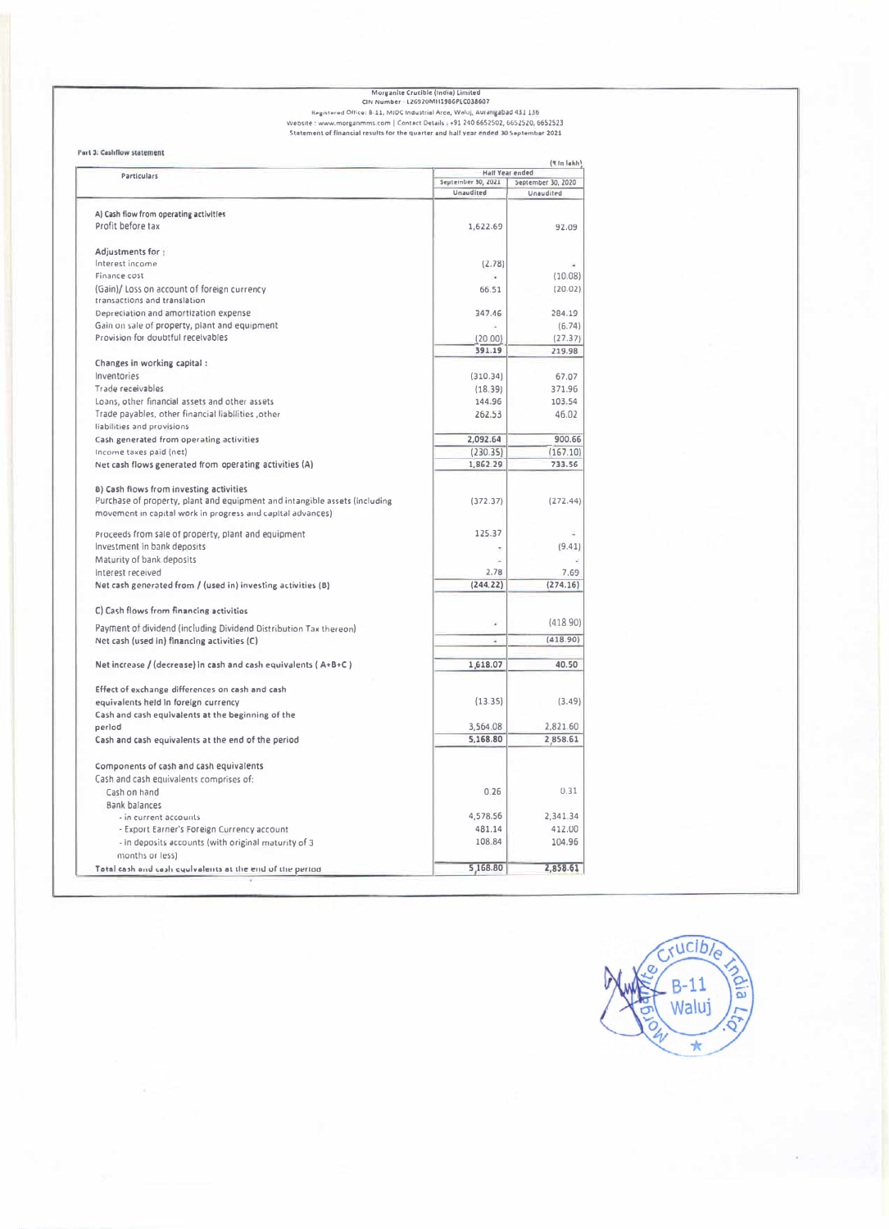## Morganite Crucible (India) Limited<br>CIN Number - L26320MH1396PLC038607<br>Registered Office: B-11, MIDC Industrial Arce, Woluj, Aurarigabad 431 136<br>Website : www.morganmms.com | Contect Details : +91 240 6652502, 66525220, 665

### Part 3: Cashflow statement

| Particulars                                                                |                    | (९ In lakh)<br><b>Half Year ended</b> |  |
|----------------------------------------------------------------------------|--------------------|---------------------------------------|--|
|                                                                            | September 30, 2021 | September 30, 2020                    |  |
|                                                                            | Unaudited          | Unaudited                             |  |
| A) Cash flow from operating activities                                     |                    |                                       |  |
| Profit before tax                                                          |                    | 92.09                                 |  |
|                                                                            | 1,622.69           |                                       |  |
| Adjustments for :                                                          |                    |                                       |  |
| Interest income                                                            | (2.78)             |                                       |  |
| Finance cost                                                               | ٠                  | (10.08)                               |  |
| (Gain)/ Loss on account of foreign currency                                | 66.51              | (20.02)                               |  |
| transactions and translation                                               |                    |                                       |  |
| Depreciation and amortization expense                                      | 347.46             | 284.19                                |  |
| Gain on sale of property, plant and equipment                              |                    | (6.74)                                |  |
| Provision for doubtful receivables                                         | (20.00)            |                                       |  |
|                                                                            | 391.19             | (27.37)<br>219.98                     |  |
| Changes in working capital:                                                |                    |                                       |  |
| Inventories                                                                |                    |                                       |  |
|                                                                            | (310.34)           | 67.07                                 |  |
| Trade receivables                                                          | (18.39)            | 371.96                                |  |
| Loans, other financial assets and other assets                             | 144.96             | 103.54                                |  |
| Trade payables, other financial liabilities , other                        | 262.53             | 46.02                                 |  |
| liabilities and provisions                                                 |                    |                                       |  |
| Cash generated from operating activities                                   | 2,092.64           | 900.66                                |  |
| Income taxes paid (net)                                                    | (230.35)           | (167.10)                              |  |
| Net cash flows generated from operating activities (A)                     | 1,862.29           | 733.56                                |  |
|                                                                            |                    |                                       |  |
| 8) Cash flows from investing activities                                    |                    |                                       |  |
| Purchase of property, plant and equipment and intangible assets (including | (372.37)           | (272.44)                              |  |
| movement in capital work in progress and capital advances)                 |                    |                                       |  |
| Proceeds from sale of property, plant and equipment                        | 125.37             |                                       |  |
| Investment in bank deposits                                                | ٠                  | (9.41)                                |  |
| Maturity of bank deposits                                                  |                    |                                       |  |
| Interest received                                                          | 2.78               | 7.69                                  |  |
| Net cash generated from / (used in) investing activities (B)               | (244.22)           | (274.16)                              |  |
|                                                                            |                    |                                       |  |
| C) Cash flows from financing activities                                    |                    |                                       |  |
| Payment of dividend (including Dividend Distribution Tax thereon)          | u                  | (418.90)                              |  |
| Net cash (used in) financing activities (C)                                | z                  | (418.90)                              |  |
|                                                                            |                    |                                       |  |
| Net increase / (decrease) in cash and cash equivalents ( $A+B+C$ )         | 1,618.07           | 40.50                                 |  |
| Effect of exchange differences on cash and cash                            |                    |                                       |  |
| equivalents held in foreign currency                                       | (13.35)            | (3.49)                                |  |
| Cash and cash equivalents at the beginning of the                          |                    |                                       |  |
| perlod                                                                     | 3,564.08           | 2,821.60                              |  |
| Cash and cash equivalents at the end of the period                         | 5,168.80           | 2,858.61                              |  |
|                                                                            |                    |                                       |  |
| Components of cash and cash equivalents                                    |                    |                                       |  |
| Cash and cash equivalents comprises of:                                    |                    |                                       |  |
| Cash on hand                                                               | 0.26               | 0.31                                  |  |
| Bank balances                                                              |                    |                                       |  |
| - in current accounts                                                      | 4,578.56           | 2,341.34                              |  |
| - Export Earner's Foreign Currency account                                 | 481.14             | 412.00                                |  |
| - in deposits accounts (with original maturity of 3                        | 108.84             | 104.96                                |  |
| months or less)                                                            |                    |                                       |  |
| Total cash and cash cyulvalents at the end of the period.                  | 5,168.80           | 2,858.61                              |  |
|                                                                            |                    |                                       |  |